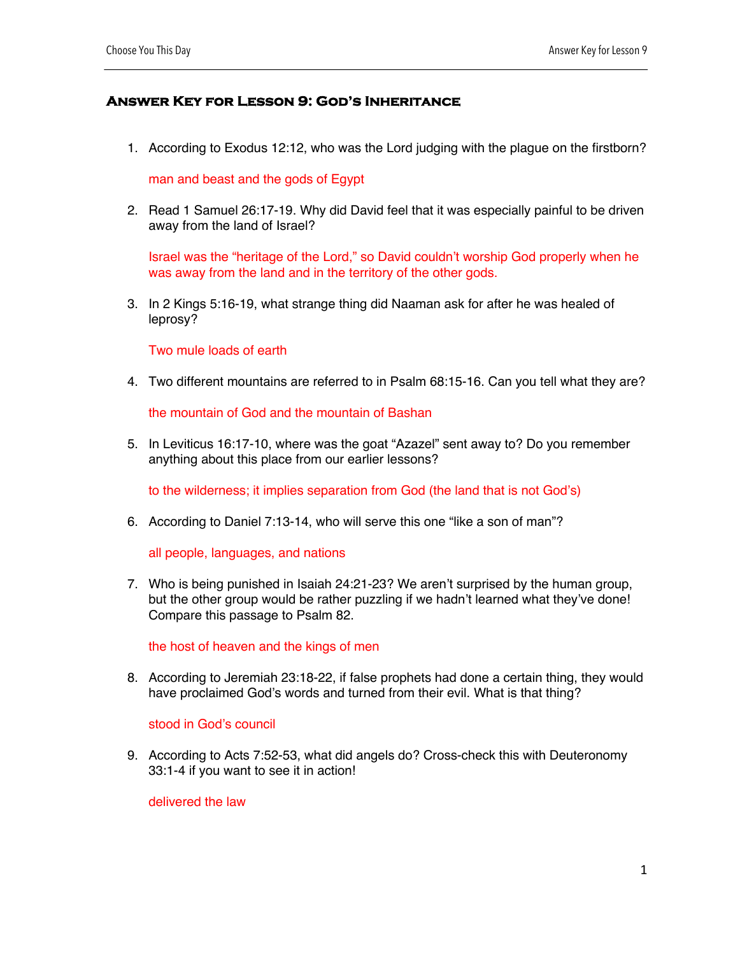## **Answer Key for Lesson 9: God's Inheritance**

1. According to Exodus 12:12, who was the Lord judging with the plague on the firstborn?

man and beast and the gods of Egypt

2. Read 1 Samuel 26:17-19. Why did David feel that it was especially painful to be driven away from the land of Israel?

Israel was the "heritage of the Lord," so David couldn't worship God properly when he was away from the land and in the territory of the other gods.

3. In 2 Kings 5:16-19, what strange thing did Naaman ask for after he was healed of leprosy?

Two mule loads of earth

4. Two different mountains are referred to in Psalm 68:15-16. Can you tell what they are?

the mountain of God and the mountain of Bashan

5. In Leviticus 16:17-10, where was the goat "Azazel" sent away to? Do you remember anything about this place from our earlier lessons?

to the wilderness; it implies separation from God (the land that is not God's)

6. According to Daniel 7:13-14, who will serve this one "like a son of man"?

all people, languages, and nations

7. Who is being punished in Isaiah 24:21-23? We aren't surprised by the human group, but the other group would be rather puzzling if we hadn't learned what they've done! Compare this passage to Psalm 82.

the host of heaven and the kings of men

8. According to Jeremiah 23:18-22, if false prophets had done a certain thing, they would have proclaimed God's words and turned from their evil. What is that thing?

stood in God's council

9. According to Acts 7:52-53, what did angels do? Cross-check this with Deuteronomy 33:1-4 if you want to see it in action!

delivered the law